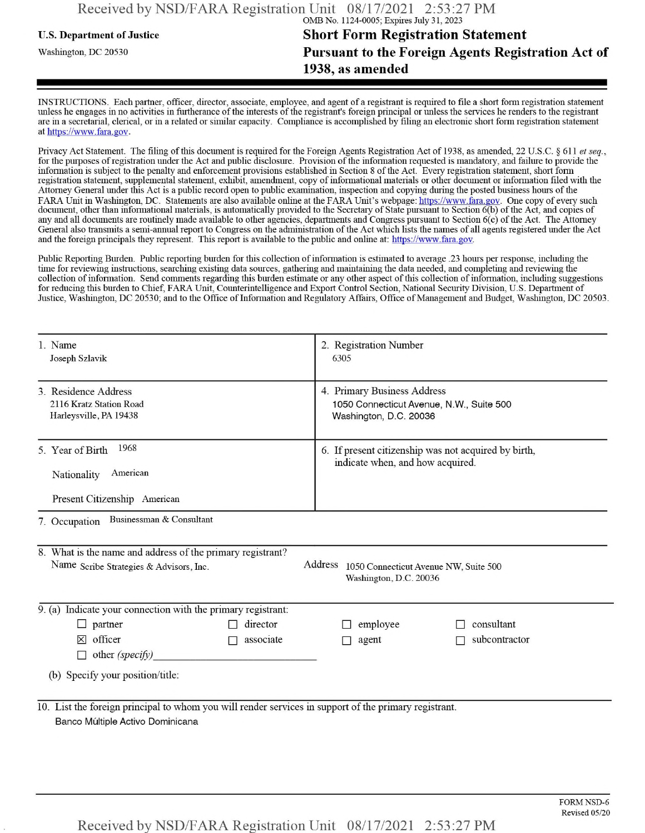## **u.s.** Department ofJustice **Short Form Registration Statement** Washington, dc <sup>20530</sup>**Pursuant to the Foreign Agents Registration Act of 1938, as amended**

INSTRUCTIONS. Each partner, officer, director, associate, employee, and agent of a registrant is required to file a short form registration statement unless he engages in no activities in furtherance ofthe interests ofthe registrant's foreign principal or unless the services he renders to the registrant are in a secretarial, clerical, or in a related or similar capacity. Compliance is accomplished by filing an electronic short form registration statement at https://www.fara.gov.

Privacy Act Statement. The filing of this document is required for the Foreign Agents Registration Act of 1938, as amended, 22 U.S.C. § 611 et seq., for the purposes ofregistration under the Act and public disclosure. Provision ofthe information requested is mandatory, and failure to provide the information is subject to the penalty and enforcement provisions established in Section 8 ofthe Act. Every registration statement, short form registration statement, supplemental statement, exhibit, amendment, copy ofinformational materials or other document or information filed with the Attorney General under this Act is a public record open to public examination, inspection and copying during the posted business hours of the FARA Unit in Washington, DC. Statements are also available online at the FARA Unit's webpage: https://www.fara.gov. One copy of every such document, other than informational materials, is automatically provided to the Secretary of State pursuant to Section 6(b) of the Act, and copies of any and all documents are routinely made available to other agencies, departments and Congress pursuant to Section 6(c) ofthe Act. The Attorney General also transmits a semi-annual report to Congress on the administration ofthe Act which lists the names of all agents registered under the Act and the foreign principals they represent. This report is available to the public and online at: https://www.fara.gov.

Public Reporting Burden. Public reporting burden for this collection ofinformation is estimated to average .23 hours per response, including the time for reviewing instructions, searching existing data sources, gathering and maintaining the data needed, and completing and reviewing the collection of information. Send comments regarding this burden estimate or any other aspect of this collection of information, including suggestions for reducing this burden to Chief, FARA Unit, Counterintelligence and Export Control Section, National Security Division, U.S. Department of Justice, Washington, DC 20530; and to the Office of Information and Regulatory Affairs, Office of Management and Budget, Washington, DC 20503.

| 1. Name<br>Joseph Szlavik                                                                                                                 | 2. Registration Number<br>6305                                                                    |  |  |  |  |  |  |
|-------------------------------------------------------------------------------------------------------------------------------------------|---------------------------------------------------------------------------------------------------|--|--|--|--|--|--|
| 3. Residence Address<br>2116 Kratz Station Road<br>Harleysville, PA 19438                                                                 | 4. Primary Business Address<br>1050 Connecticut Avenue, N.W., Suite 500<br>Washington, D.C. 20036 |  |  |  |  |  |  |
| 1968<br>5. Year of Birth<br>American<br>Nationality<br>Present Citizenship American                                                       | 6. If present citizenship was not acquired by birth,<br>indicate when, and how acquired.          |  |  |  |  |  |  |
| Businessman & Consultant<br>7. Occupation                                                                                                 |                                                                                                   |  |  |  |  |  |  |
| 8. What is the name and address of the primary registrant?<br>Name Scribe Strategies & Advisors, Inc.                                     | Address<br>1050 Connecticut Avenue NW, Suite 500<br>Washington, D.C. 20036                        |  |  |  |  |  |  |
| 9. (a) Indicate your connection with the primary registrant:                                                                              |                                                                                                   |  |  |  |  |  |  |
| $\Box$ partner<br>director                                                                                                                | consultant<br>employee                                                                            |  |  |  |  |  |  |
| officer<br>associate<br>$\times$<br>other (specify)                                                                                       | subcontractor<br>agent                                                                            |  |  |  |  |  |  |
| (b) Specify your position/title:                                                                                                          |                                                                                                   |  |  |  |  |  |  |
| 10. List the foreign principal to whom you will render services in support of the primary registrant.<br>Banco Múltiple Activo Dominicana |                                                                                                   |  |  |  |  |  |  |